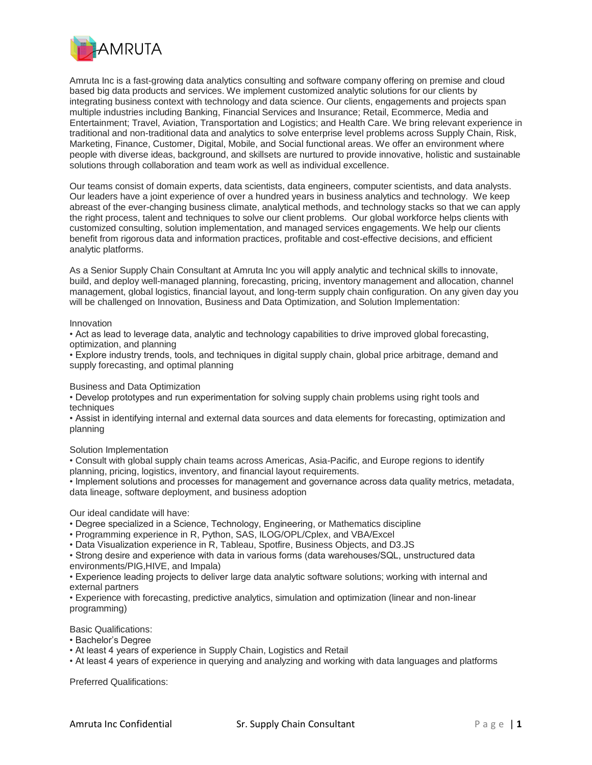

Amruta Inc is a fast-growing data analytics consulting and software company offering on premise and cloud based big data products and services. We implement customized analytic solutions for our clients by integrating business context with technology and data science. Our clients, engagements and projects span multiple industries including Banking, Financial Services and Insurance; Retail, Ecommerce, Media and Entertainment; Travel, Aviation, Transportation and Logistics; and Health Care. We bring relevant experience in traditional and non-traditional data and analytics to solve enterprise level problems across Supply Chain, Risk, Marketing, Finance, Customer, Digital, Mobile, and Social functional areas. We offer an environment where people with diverse ideas, background, and skillsets are nurtured to provide innovative, holistic and sustainable solutions through collaboration and team work as well as individual excellence.

Our teams consist of domain experts, data scientists, data engineers, computer scientists, and data analysts. Our leaders have a joint experience of over a hundred years in business analytics and technology. We keep abreast of the ever-changing business climate, analytical methods, and technology stacks so that we can apply the right process, talent and techniques to solve our client problems. Our global workforce helps clients with customized consulting, solution implementation, and managed services engagements. We help our clients benefit from rigorous data and information practices, profitable and cost-effective decisions, and efficient analytic platforms.

As a Senior Supply Chain Consultant at Amruta Inc you will apply analytic and technical skills to innovate, build, and deploy well-managed planning, forecasting, pricing, inventory management and allocation, channel management, global logistics, financial layout, and long-term supply chain configuration. On any given day you will be challenged on Innovation, Business and Data Optimization, and Solution Implementation:

## Innovation

• Act as lead to leverage data, analytic and technology capabilities to drive improved global forecasting, optimization, and planning

• Explore industry trends, tools, and techniques in digital supply chain, global price arbitrage, demand and supply forecasting, and optimal planning

Business and Data Optimization

• Develop prototypes and run experimentation for solving supply chain problems using right tools and techniques

• Assist in identifying internal and external data sources and data elements for forecasting, optimization and planning

Solution Implementation

• Consult with global supply chain teams across Americas, Asia-Pacific, and Europe regions to identify planning, pricing, logistics, inventory, and financial layout requirements.

• Implement solutions and processes for management and governance across data quality metrics, metadata, data lineage, software deployment, and business adoption

Our ideal candidate will have:

• Degree specialized in a Science, Technology, Engineering, or Mathematics discipline

• Programming experience in R, Python, SAS, ILOG/OPL/Cplex, and VBA/Excel

• Data Visualization experience in R, Tableau, Spotfire, Business Objects, and D3.JS

• Strong desire and experience with data in various forms (data warehouses/SQL, unstructured data environments/PIG,HIVE, and Impala)

• Experience leading projects to deliver large data analytic software solutions; working with internal and external partners

• Experience with forecasting, predictive analytics, simulation and optimization (linear and non-linear programming)

Basic Qualifications:

- Bachelor's Degree
- At least 4 years of experience in Supply Chain, Logistics and Retail
- At least 4 years of experience in querying and analyzing and working with data languages and platforms

Preferred Qualifications: